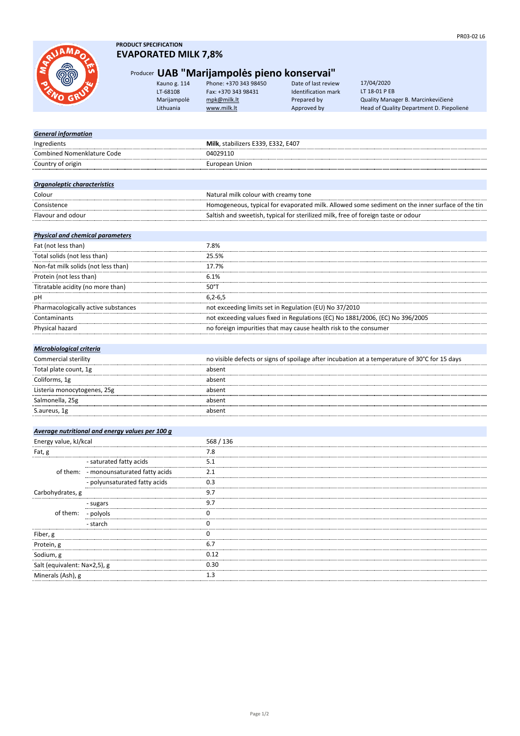*General information*

## **PRODUCT SPECIFICATION EVAPORATED MILK 7,8%**

# Producer **UAB "Marijampolės pieno konservai"**<br>Kauno g. 114 Phone: +370 343 98450 Date of last review

| Kauno g. 114 | Phone: +370 343 98450 | Date of last review | 17/04/2020                          |
|--------------|-----------------------|---------------------|-------------------------------------|
| LT-68108     | Fax: +370 343 98431   | Identification mark | LT 18-01 P EB                       |
| Marijampolė  | mpk@milk.lt           | Prepared by         | Quality Manager B. Marcinkevičienė  |
| Lithuania    | www.milk.lt           | Approved by         | Head of Quality Department D. Piepo |

oy **Lithuan** Head of Quality Department D. Piepolienė 17/04/2020 LT 18-01 P EB

| Ingredients                             |                                                 | Milk, stabilizers E339, E332, E407                                                              |  |
|-----------------------------------------|-------------------------------------------------|-------------------------------------------------------------------------------------------------|--|
| <b>Combined Nomenklature Code</b>       |                                                 | 04029110                                                                                        |  |
| Country of origin                       |                                                 | <b>European Union</b>                                                                           |  |
|                                         |                                                 |                                                                                                 |  |
| Organoleptic characteristics            |                                                 |                                                                                                 |  |
| Colour                                  |                                                 | Natural milk colour with creamy tone                                                            |  |
| Consistence                             |                                                 | Homogeneous, typical for evaporated milk. Allowed some sediment on the inner surface of the tin |  |
| Flavour and odour                       |                                                 | Saltish and sweetish, typical for sterilized milk, free of foreign taste or odour               |  |
| <b>Physical and chemical parameters</b> |                                                 |                                                                                                 |  |
| Fat (not less than)                     |                                                 | 7.8%                                                                                            |  |
| Total solids (not less than)            |                                                 | 25.5%                                                                                           |  |
| Non-fat milk solids (not less than)     |                                                 | 17.7%                                                                                           |  |
| Protein (not less than)                 |                                                 | 6.1%                                                                                            |  |
| Titratable acidity (no more than)       |                                                 | $50^{\circ}$ T                                                                                  |  |
| pH                                      |                                                 | $6, 2 - 6, 5$                                                                                   |  |
| Pharmacologically active substances     |                                                 | not exceeding limits set in Regulation (EU) No 37/2010                                          |  |
| Contaminants                            |                                                 | not exceeding values fixed in Regulations (EC) No 1881/2006, (EC) No 396/2005                   |  |
| Physical hazard                         |                                                 | no foreign impurities that may cause health risk to the consumer                                |  |
|                                         |                                                 |                                                                                                 |  |
| Microbiological criteria                |                                                 |                                                                                                 |  |
| Commercial sterility                    |                                                 | no visible defects or signs of spoilage after incubation at a temperature of 30°C for 15 days   |  |
| Total plate count, 1g                   |                                                 | absent                                                                                          |  |
| Coliforms, 1g                           |                                                 | absent                                                                                          |  |
| Listeria monocytogenes, 25g             |                                                 | absent                                                                                          |  |
| Salmonella, 25g                         |                                                 | absent                                                                                          |  |
| S.aureus, 1g                            |                                                 | absent                                                                                          |  |
|                                         |                                                 |                                                                                                 |  |
| Energy value, kJ/kcal                   | Average nutritional and energy values per 100 g | 568 / 136                                                                                       |  |
| Fat, g                                  |                                                 | 7.8                                                                                             |  |
|                                         | - saturated fatty acids                         | 5.1                                                                                             |  |
|                                         | of them: - monounsaturated fatty acids          | 2.1                                                                                             |  |
|                                         | - polyunsaturated fatty acids                   | 0.3                                                                                             |  |
| Carbohydrates, g                        |                                                 | 9.7                                                                                             |  |
| of them:                                |                                                 | 9.7                                                                                             |  |
|                                         | - sugars<br>- polyols                           | 0                                                                                               |  |
|                                         |                                                 | 0                                                                                               |  |
| - starch                                |                                                 | 0                                                                                               |  |
| Fiber, g                                |                                                 | 6.7                                                                                             |  |
| Protein, g                              |                                                 | 0.12                                                                                            |  |
| Sodium, g                               |                                                 | 0.30                                                                                            |  |
| Salt (equivalent: Na×2,5), g            |                                                 | 1.3                                                                                             |  |
| Minerals (Ash), g                       |                                                 |                                                                                                 |  |